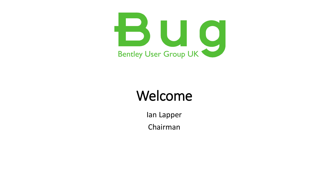

### Welcome

Ian Lapper Chairman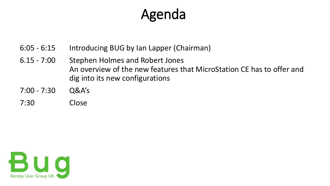## Agenda

- 6:05 6:15 Introducing BUG by Ian Lapper (Chairman)
- 6.15 7:00 Stephen Holmes and Robert Jones An overview of the new features that MicroStation CE has to offer and dig into its new configurations
- 7:00 7:30 Q&A's
- 7:30 Close

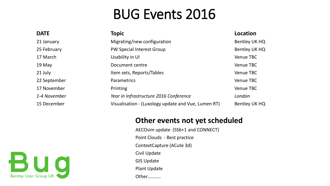### BUG Events 2016

| <b>DATE</b>  | <b>Topic</b>                                        | Location         |
|--------------|-----------------------------------------------------|------------------|
| 21 January   | Migrating/new configuration                         | Bentley UK HQ    |
| 25 February  | <b>PW Special Interest Group</b>                    | Bentley UK HQ    |
| 17 March     | Usability in UI                                     | <b>Venue TBC</b> |
| 19 May       | Document centre                                     | <b>Venue TBC</b> |
| 21 July      | Item sets, Reports/Tables                           | <b>Venue TBC</b> |
| 22 September | Parametrics                                         | <b>Venue TBC</b> |
| 17 November  | Printing                                            | Venue TBC        |
| 1-4 November | Year in Infrastructure 2016 Conference              | London           |
| 15 December  | Visualisation - (Luxology update and Vue, Lumen RT) | Bentley UK HQ    |

#### **Other events not yet scheduled**

AECOsim update (SS6+1 and CONNECT) Point Clouds - Best practice ContextCapture (ACute 3d) Civil Update GIS Update Plant Update

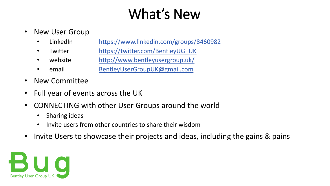# What's New

- New User Group
	- LinkedIn <https://www.linkedin.com/groups/8460982>
	- Twitter https://twitter.com/BentleyUG UK
	- website <http://www.bentleyusergroup.uk/>
	- email [BentleyUserGroupUK@gmail.com](mailto:BentleyUserGroupUK@gmail.com)
- New Committee
- Full year of events across the UK
- CONNECTING with other User Groups around the world
	- Sharing ideas
	- Invite users from other countries to share their wisdom
- Invite Users to showcase their projects and ideas, including the gains & pains